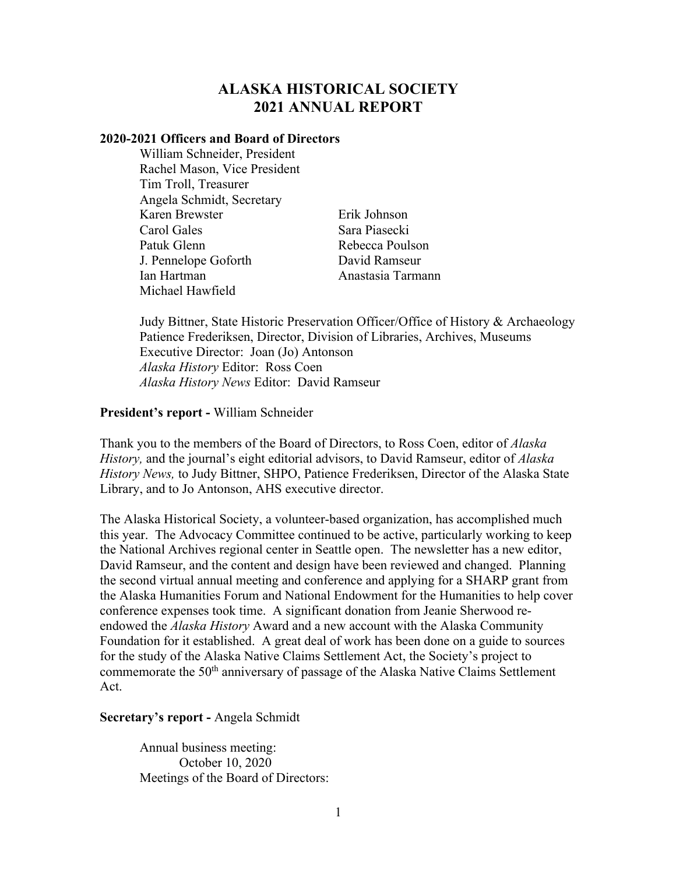# **ALASKA HISTORICAL SOCIETY 2021 ANNUAL REPORT**

## **2020-2021 Officers and Board of Directors**

William Schneider, President Rachel Mason, Vice President Tim Troll, Treasurer Angela Schmidt, Secretary Karen Brewster Carol Gales Patuk Glenn J. Pennelope Goforth Ian Hartman Michael Hawfield

Erik Johnson Sara Piasecki Rebecca Poulson David Ramseur Anastasia Tarmann

Judy Bittner, State Historic Preservation Officer/Office of History & Archaeology Patience Frederiksen, Director, Division of Libraries, Archives, Museums Executive Director: Joan (Jo) Antonson *Alaska History* Editor: Ross Coen *Alaska History News* Editor: David Ramseur

## **President's report -** William Schneider

Thank you to the members of the Board of Directors, to Ross Coen, editor of *Alaska History,* and the journal's eight editorial advisors, to David Ramseur, editor of *Alaska History News,* to Judy Bittner, SHPO, Patience Frederiksen, Director of the Alaska State Library, and to Jo Antonson, AHS executive director.

The Alaska Historical Society, a volunteer-based organization, has accomplished much this year. The Advocacy Committee continued to be active, particularly working to keep the National Archives regional center in Seattle open. The newsletter has a new editor, David Ramseur, and the content and design have been reviewed and changed. Planning the second virtual annual meeting and conference and applying for a SHARP grant from the Alaska Humanities Forum and National Endowment for the Humanities to help cover conference expenses took time. A significant donation from Jeanie Sherwood reendowed the *Alaska History* Award and a new account with the Alaska Community Foundation for it established. A great deal of work has been done on a guide to sources for the study of the Alaska Native Claims Settlement Act, the Society's project to commemorate the 50<sup>th</sup> anniversary of passage of the Alaska Native Claims Settlement Act.

## **Secretary's report -** Angela Schmidt

Annual business meeting: October 10, 2020 Meetings of the Board of Directors: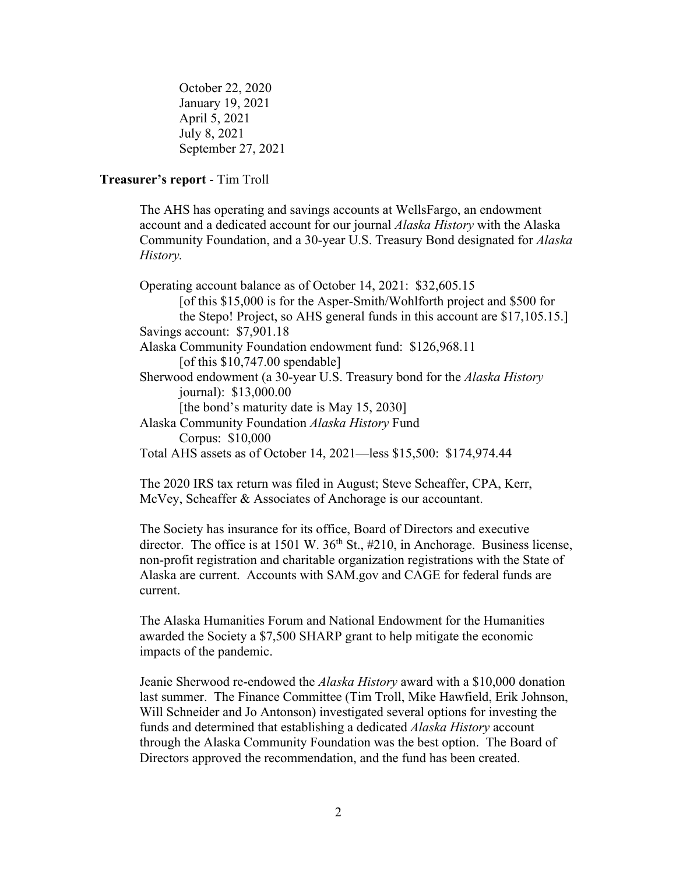October 22, 2020 January 19, 2021 April 5, 2021 July 8, 2021 September 27, 2021

## **Treasurer's report** - Tim Troll

The AHS has operating and savings accounts at WellsFargo, an endowment account and a dedicated account for our journal *Alaska History* with the Alaska Community Foundation, and a 30-year U.S. Treasury Bond designated for *Alaska History.*

Operating account balance as of October 14, 2021: \$32,605.15 [of this \$15,000 is for the Asper-Smith/Wohlforth project and \$500 for the Stepo! Project, so AHS general funds in this account are \$17,105.15.] Savings account: \$7,901.18 Alaska Community Foundation endowment fund: \$126,968.11 [of this  $$10,747.00$  spendable] Sherwood endowment (a 30-year U.S. Treasury bond for the *Alaska History* journal): \$13,000.00 [the bond's maturity date is May 15, 2030] Alaska Community Foundation *Alaska History* Fund Corpus: \$10,000 Total AHS assets as of October 14, 2021—less \$15,500: \$174,974.44

The 2020 IRS tax return was filed in August; Steve Scheaffer, CPA, Kerr, McVey, Scheaffer & Associates of Anchorage is our accountant.

The Society has insurance for its office, Board of Directors and executive director. The office is at 1501 W.  $36<sup>th</sup>$  St., #210, in Anchorage. Business license, non-profit registration and charitable organization registrations with the State of Alaska are current. Accounts with SAM.gov and CAGE for federal funds are current.

The Alaska Humanities Forum and National Endowment for the Humanities awarded the Society a \$7,500 SHARP grant to help mitigate the economic impacts of the pandemic.

Jeanie Sherwood re-endowed the *Alaska History* award with a \$10,000 donation last summer. The Finance Committee (Tim Troll, Mike Hawfield, Erik Johnson, Will Schneider and Jo Antonson) investigated several options for investing the funds and determined that establishing a dedicated *Alaska History* account through the Alaska Community Foundation was the best option. The Board of Directors approved the recommendation, and the fund has been created.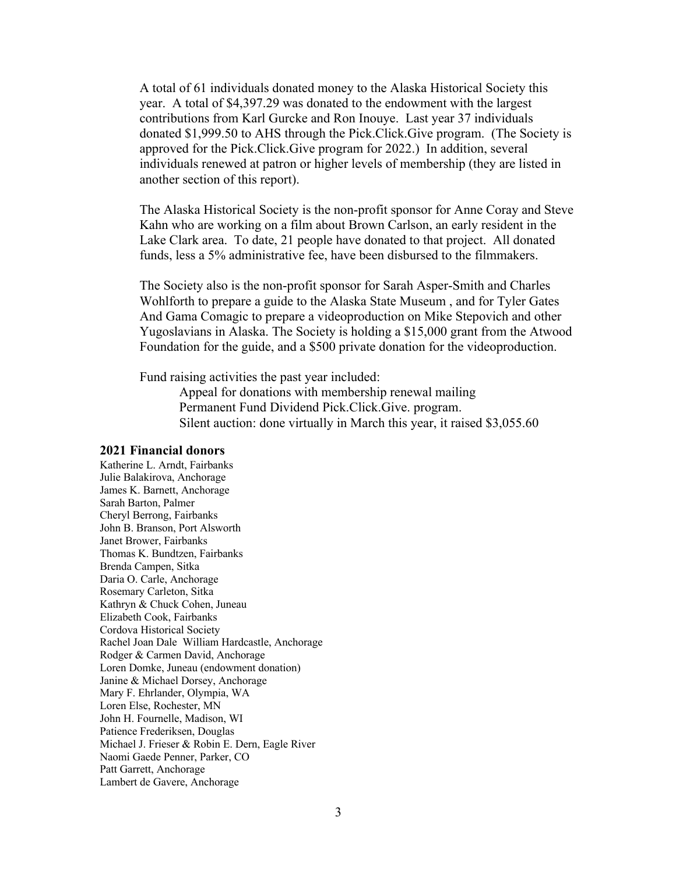A total of 61 individuals donated money to the Alaska Historical Society this year. A total of \$4,397.29 was donated to the endowment with the largest contributions from Karl Gurcke and Ron Inouye. Last year 37 individuals donated \$1,999.50 to AHS through the Pick.Click.Give program. (The Society is approved for the Pick.Click.Give program for 2022.) In addition, several individuals renewed at patron or higher levels of membership (they are listed in another section of this report).

The Alaska Historical Society is the non-profit sponsor for Anne Coray and Steve Kahn who are working on a film about Brown Carlson, an early resident in the Lake Clark area. To date, 21 people have donated to that project. All donated funds, less a 5% administrative fee, have been disbursed to the filmmakers.

The Society also is the non-profit sponsor for Sarah Asper-Smith and Charles Wohlforth to prepare a guide to the Alaska State Museum , and for Tyler Gates And Gama Comagic to prepare a videoproduction on Mike Stepovich and other Yugoslavians in Alaska. The Society is holding a \$15,000 grant from the Atwood Foundation for the guide, and a \$500 private donation for the videoproduction.

Fund raising activities the past year included:

Appeal for donations with membership renewal mailing Permanent Fund Dividend Pick.Click.Give. program. Silent auction: done virtually in March this year, it raised \$3,055.60

#### **2021 Financial donors**

Katherine L. Arndt, Fairbanks Julie Balakirova, Anchorage James K. Barnett, Anchorage Sarah Barton, Palmer Cheryl Berrong, Fairbanks John B. Branson, Port Alsworth Janet Brower, Fairbanks Thomas K. Bundtzen, Fairbanks Brenda Campen, Sitka Daria O. Carle, Anchorage Rosemary Carleton, Sitka Kathryn & Chuck Cohen, Juneau Elizabeth Cook, Fairbanks Cordova Historical Society Rachel Joan Dale William Hardcastle, Anchorage Rodger & Carmen David, Anchorage Loren Domke, Juneau (endowment donation) Janine & Michael Dorsey, Anchorage Mary F. Ehrlander, Olympia, WA Loren Else, Rochester, MN John H. Fournelle, Madison, WI Patience Frederiksen, Douglas Michael J. Frieser & Robin E. Dern, Eagle River Naomi Gaede Penner, Parker, CO Patt Garrett, Anchorage Lambert de Gavere, Anchorage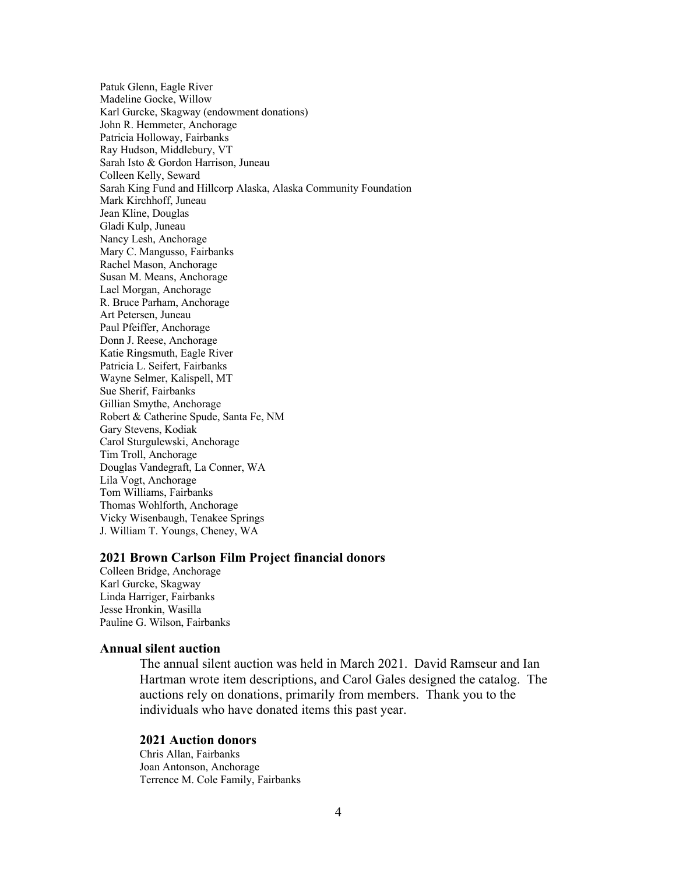Patuk Glenn, Eagle River Madeline Gocke, Willow Karl Gurcke, Skagway (endowment donations) John R. Hemmeter, Anchorage Patricia Holloway, Fairbanks Ray Hudson, Middlebury, VT Sarah Isto & Gordon Harrison, Juneau Colleen Kelly, Seward Sarah King Fund and Hillcorp Alaska, Alaska Community Foundation Mark Kirchhoff, Juneau Jean Kline, Douglas Gladi Kulp, Juneau Nancy Lesh, Anchorage Mary C. Mangusso, Fairbanks Rachel Mason, Anchorage Susan M. Means, Anchorage Lael Morgan, Anchorage R. Bruce Parham, Anchorage Art Petersen, Juneau Paul Pfeiffer, Anchorage Donn J. Reese, Anchorage Katie Ringsmuth, Eagle River Patricia L. Seifert, Fairbanks Wayne Selmer, Kalispell, MT Sue Sherif, Fairbanks Gillian Smythe, Anchorage Robert & Catherine Spude, Santa Fe, NM Gary Stevens, Kodiak Carol Sturgulewski, Anchorage Tim Troll, Anchorage Douglas Vandegraft, La Conner, WA Lila Vogt, Anchorage Tom Williams, Fairbanks Thomas Wohlforth, Anchorage Vicky Wisenbaugh, Tenakee Springs J. William T. Youngs, Cheney, WA

## **2021 Brown Carlson Film Project financial donors**

Colleen Bridge, Anchorage Karl Gurcke, Skagway Linda Harriger, Fairbanks Jesse Hronkin, Wasilla Pauline G. Wilson, Fairbanks

## **Annual silent auction**

The annual silent auction was held in March 2021. David Ramseur and Ian Hartman wrote item descriptions, and Carol Gales designed the catalog. The auctions rely on donations, primarily from members. Thank you to the individuals who have donated items this past year.

## **2021 Auction donors**

Chris Allan, Fairbanks Joan Antonson, Anchorage Terrence M. Cole Family, Fairbanks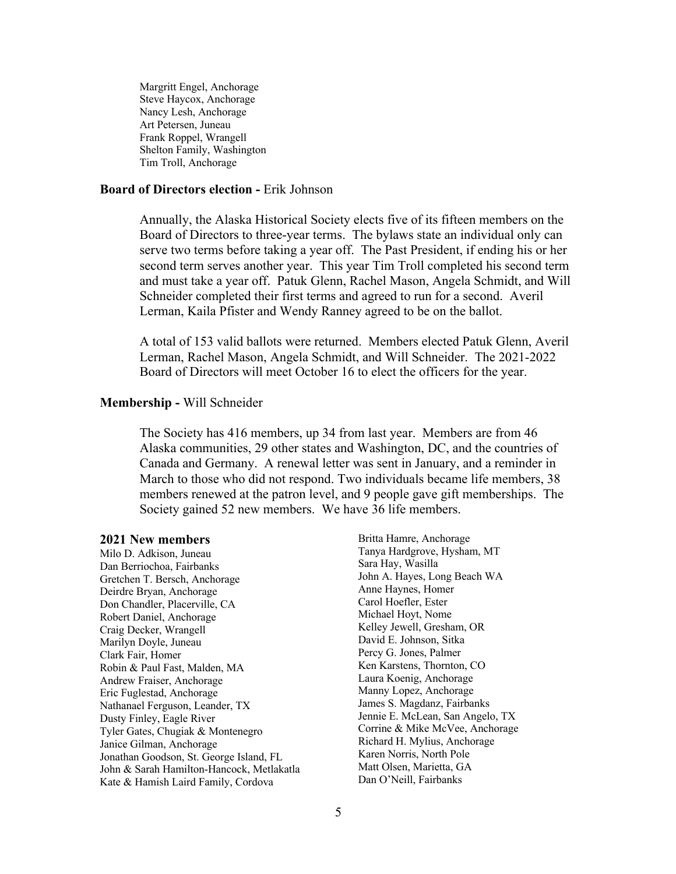Margritt Engel, Anchorage Steve Haycox, Anchorage Nancy Lesh, Anchorage Art Petersen, Juneau Frank Roppel, Wrangell Shelton Family, Washington Tim Troll, Anchorage

## **Board of Directors election -** Erik Johnson

Annually, the Alaska Historical Society elects five of its fifteen members on the Board of Directors to three-year terms. The bylaws state an individual only can serve two terms before taking a year off. The Past President, if ending his or her second term serves another year. This year Tim Troll completed his second term and must take a year off. Patuk Glenn, Rachel Mason, Angela Schmidt, and Will Schneider completed their first terms and agreed to run for a second. Averil Lerman, Kaila Pfister and Wendy Ranney agreed to be on the ballot.

A total of 153 valid ballots were returned. Members elected Patuk Glenn, Averil Lerman, Rachel Mason, Angela Schmidt, and Will Schneider. The 2021-2022 Board of Directors will meet October 16 to elect the officers for the year.

## **Membership -** Will Schneider

The Society has 416 members, up 34 from last year. Members are from 46 Alaska communities, 29 other states and Washington, DC, and the countries of Canada and Germany. A renewal letter was sent in January, and a reminder in March to those who did not respond. Two individuals became life members, 38 members renewed at the patron level, and 9 people gave gift memberships. The Society gained 52 new members. We have 36 life members.

#### **2021 New members**

Milo D. Adkison, Juneau Dan Berriochoa, Fairbanks Gretchen T. Bersch, Anchorage Deirdre Bryan, Anchorage Don Chandler, Placerville, CA Robert Daniel, Anchorage Craig Decker, Wrangell Marilyn Doyle, Juneau Clark Fair, Homer Robin & Paul Fast, Malden, MA Andrew Fraiser, Anchorage Eric Fuglestad, Anchorage Nathanael Ferguson, Leander, TX Dusty Finley, Eagle River Tyler Gates, Chugiak & Montenegro Janice Gilman, Anchorage Jonathan Goodson, St. George Island, FL John & Sarah Hamilton-Hancock, Metlakatla Kate & Hamish Laird Family, Cordova

Britta Hamre, Anchorage Tanya Hardgrove, Hysham, MT Sara Hay, Wasilla John A. Hayes, Long Beach WA Anne Haynes, Homer Carol Hoefler, Ester Michael Hoyt, Nome Kelley Jewell, Gresham, OR David E. Johnson, Sitka Percy G. Jones, Palmer Ken Karstens, Thornton, CO Laura Koenig, Anchorage Manny Lopez, Anchorage James S. Magdanz, Fairbanks Jennie E. McLean, San Angelo, TX Corrine & Mike McVee, Anchorage Richard H. Mylius, Anchorage Karen Norris, North Pole Matt Olsen, Marietta, GA Dan O'Neill, Fairbanks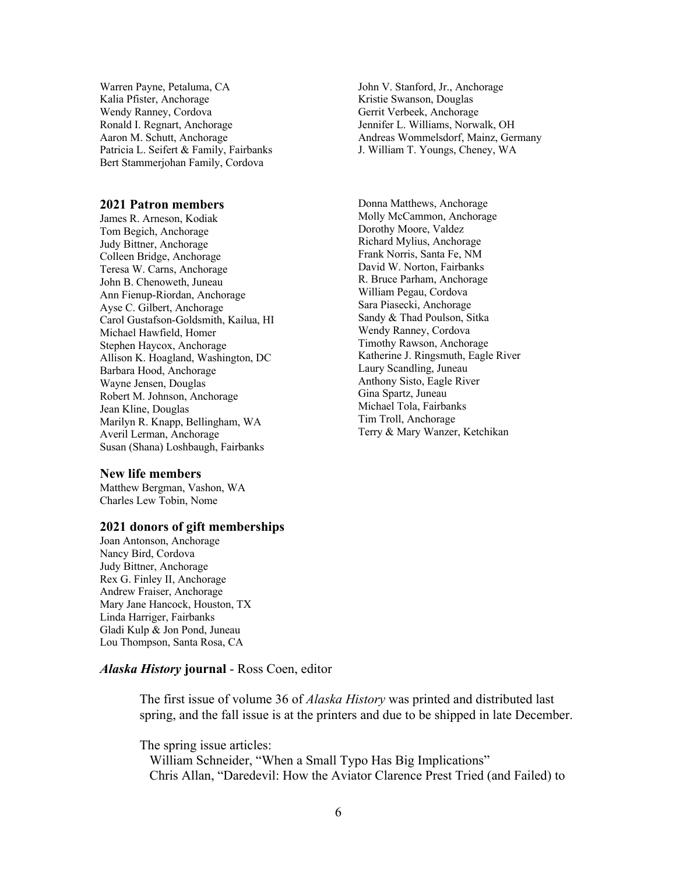Warren Payne, Petaluma, CA Kalia Pfister, Anchorage Wendy Ranney, Cordova Ronald I. Regnart, Anchorage Aaron M. Schutt, Anchorage Patricia L. Seifert & Family, Fairbanks Bert Stammerjohan Family, Cordova

#### **2021 Patron members**

James R. Arneson, Kodiak Tom Begich, Anchorage Judy Bittner, Anchorage Colleen Bridge, Anchorage Teresa W. Carns, Anchorage John B. Chenoweth, Juneau Ann Fienup-Riordan, Anchorage Ayse C. Gilbert, Anchorage Carol Gustafson-Goldsmith, Kailua, HI Michael Hawfield, Homer Stephen Haycox, Anchorage Allison K. Hoagland, Washington, DC Barbara Hood, Anchorage Wayne Jensen, Douglas Robert M. Johnson, Anchorage Jean Kline, Douglas Marilyn R. Knapp, Bellingham, WA Averil Lerman, Anchorage Susan (Shana) Loshbaugh, Fairbanks

#### **New life members**

Matthew Bergman, Vashon, WA Charles Lew Tobin, Nome

## **2021 donors of gift memberships**

Joan Antonson, Anchorage Nancy Bird, Cordova Judy Bittner, Anchorage Rex G. Finley II, Anchorage Andrew Fraiser, Anchorage Mary Jane Hancock, Houston, TX Linda Harriger, Fairbanks Gladi Kulp & Jon Pond, Juneau Lou Thompson, Santa Rosa, CA

## *Alaska History* **journal** - Ross Coen, editor

The first issue of volume 36 of *Alaska History* was printed and distributed last spring, and the fall issue is at the printers and due to be shipped in late December.

The spring issue articles: William Schneider, "When a Small Typo Has Big Implications" Chris Allan, "Daredevil: How the Aviator Clarence Prest Tried (and Failed) to

John V. Stanford, Jr., Anchorage Kristie Swanson, Douglas Gerrit Verbeek, Anchorage Jennifer L. Williams, Norwalk, OH Andreas Wommelsdorf, Mainz, Germany J. William T. Youngs, Cheney, WA

Donna Matthews, Anchorage Molly McCammon, Anchorage Dorothy Moore, Valdez Richard Mylius, Anchorage Frank Norris, Santa Fe, NM David W. Norton, Fairbanks R. Bruce Parham, Anchorage William Pegau, Cordova Sara Piasecki, Anchorage Sandy & Thad Poulson, Sitka Wendy Ranney, Cordova Timothy Rawson, Anchorage Katherine J. Ringsmuth, Eagle River Laury Scandling, Juneau Anthony Sisto, Eagle River Gina Spartz, Juneau Michael Tola, Fairbanks Tim Troll, Anchorage Terry & Mary Wanzer, Ketchikan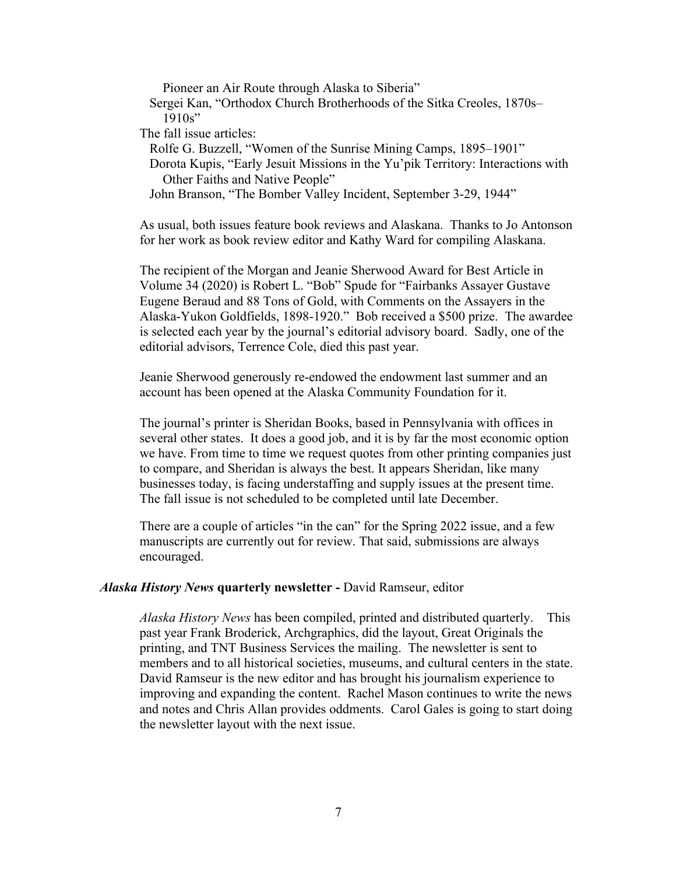Pioneer an Air Route through Alaska to Siberia"

 Sergei Kan, "Orthodox Church Brotherhoods of the Sitka Creoles, 1870s–  $1910s"$ 

The fall issue articles:

Rolfe G. Buzzell, "Women of the Sunrise Mining Camps, 1895–1901"

 Dorota Kupis, "Early Jesuit Missions in the Yu'pik Territory: Interactions with Other Faiths and Native People"

John Branson, "The Bomber Valley Incident, September 3-29, 1944"

As usual, both issues feature book reviews and Alaskana. Thanks to Jo Antonson for her work as book review editor and Kathy Ward for compiling Alaskana.

The recipient of the Morgan and Jeanie Sherwood Award for Best Article in Volume 34 (2020) is Robert L. "Bob" Spude for "Fairbanks Assayer Gustave Eugene Beraud and 88 Tons of Gold, with Comments on the Assayers in the Alaska-Yukon Goldfields, 1898-1920." Bob received a \$500 prize. The awardee is selected each year by the journal's editorial advisory board. Sadly, one of the editorial advisors, Terrence Cole, died this past year.

Jeanie Sherwood generously re-endowed the endowment last summer and an account has been opened at the Alaska Community Foundation for it.

The journal's printer is Sheridan Books, based in Pennsylvania with offices in several other states. It does a good job, and it is by far the most economic option we have. From time to time we request quotes from other printing companies just to compare, and Sheridan is always the best. It appears Sheridan, like many businesses today, is facing understaffing and supply issues at the present time. The fall issue is not scheduled to be completed until late December.

There are a couple of articles "in the can" for the Spring 2022 issue, and a few manuscripts are currently out for review. That said, submissions are always encouraged.

## *Alaska History News* **quarterly newsletter -** David Ramseur, editor

*Alaska History News* has been compiled, printed and distributed quarterly. This past year Frank Broderick, Archgraphics, did the layout, Great Originals the printing, and TNT Business Services the mailing. The newsletter is sent to members and to all historical societies, museums, and cultural centers in the state. David Ramseur is the new editor and has brought his journalism experience to improving and expanding the content. Rachel Mason continues to write the news and notes and Chris Allan provides oddments. Carol Gales is going to start doing the newsletter layout with the next issue.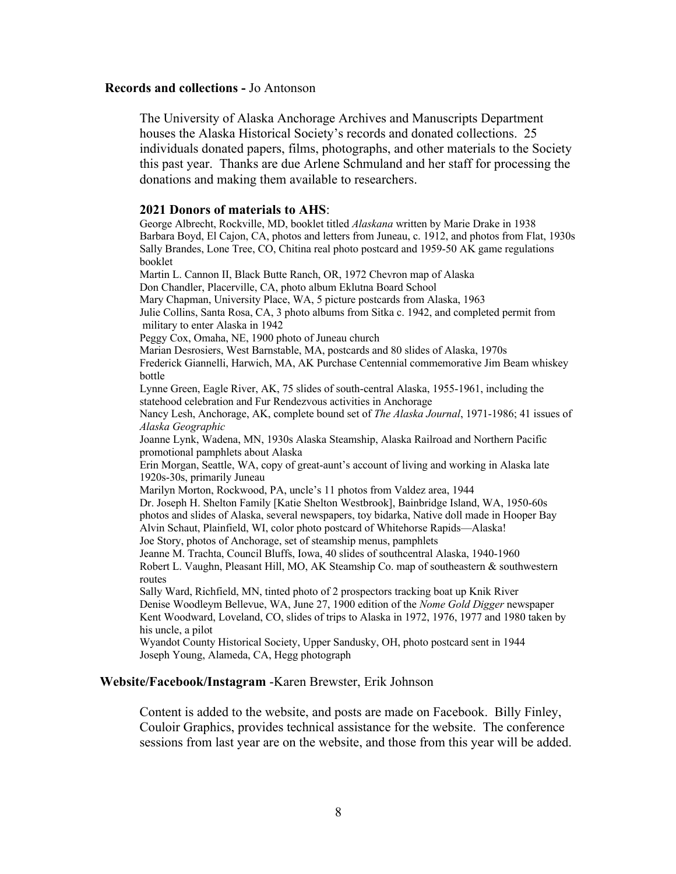#### **Records and collections -** Jo Antonson

The University of Alaska Anchorage Archives and Manuscripts Department houses the Alaska Historical Society's records and donated collections. 25 individuals donated papers, films, photographs, and other materials to the Society this past year. Thanks are due Arlene Schmuland and her staff for processing the donations and making them available to researchers.

**2021 Donors of materials to AHS**: George Albrecht, Rockville, MD, booklet titled *Alaskana* written by Marie Drake in 1938 Barbara Boyd, El Cajon, CA, photos and letters from Juneau, c. 1912, and photos from Flat, 1930s Sally Brandes, Lone Tree, CO, Chitina real photo postcard and 1959-50 AK game regulations booklet Martin L. Cannon II, Black Butte Ranch, OR, 1972 Chevron map of Alaska Don Chandler, Placerville, CA, photo album Eklutna Board School Mary Chapman, University Place, WA, 5 picture postcards from Alaska, 1963 Julie Collins, Santa Rosa, CA, 3 photo albums from Sitka c. 1942, and completed permit from military to enter Alaska in 1942 Peggy Cox, Omaha, NE, 1900 photo of Juneau church Marian Desrosiers, West Barnstable, MA, postcards and 80 slides of Alaska, 1970s Frederick Giannelli, Harwich, MA, AK Purchase Centennial commemorative Jim Beam whiskey bottle Lynne Green, Eagle River, AK, 75 slides of south-central Alaska, 1955-1961, including the statehood celebration and Fur Rendezvous activities in Anchorage Nancy Lesh, Anchorage, AK, complete bound set of *The Alaska Journal*, 1971-1986; 41 issues of *Alaska Geographic* Joanne Lynk, Wadena, MN, 1930s Alaska Steamship, Alaska Railroad and Northern Pacific promotional pamphlets about Alaska Erin Morgan, Seattle, WA, copy of great-aunt's account of living and working in Alaska late 1920s-30s, primarily Juneau Marilyn Morton, Rockwood, PA, uncle's 11 photos from Valdez area, 1944 Dr. Joseph H. Shelton Family [Katie Shelton Westbrook], Bainbridge Island, WA, 1950-60s photos and slides of Alaska, several newspapers, toy bidarka, Native doll made in Hooper Bay Alvin Schaut, Plainfield, WI, color photo postcard of Whitehorse Rapids—Alaska! Joe Story, photos of Anchorage, set of steamship menus, pamphlets Jeanne M. Trachta, Council Bluffs, Iowa, 40 slides of southcentral Alaska, 1940-1960 Robert L. Vaughn, Pleasant Hill, MO, AK Steamship Co. map of southeastern & southwestern routes Sally Ward, Richfield, MN, tinted photo of 2 prospectors tracking boat up Knik River Denise Woodleym Bellevue, WA, June 27, 1900 edition of the *Nome Gold Digger* newspaper Kent Woodward, Loveland, CO, slides of trips to Alaska in 1972, 1976, 1977 and 1980 taken by his uncle, a pilot

Wyandot County Historical Society, Upper Sandusky, OH, photo postcard sent in 1944 Joseph Young, Alameda, CA, Hegg photograph

#### **Website/Facebook/Instagram** -Karen Brewster, Erik Johnson

Content is added to the website, and posts are made on Facebook. Billy Finley, Couloir Graphics, provides technical assistance for the website. The conference sessions from last year are on the website, and those from this year will be added.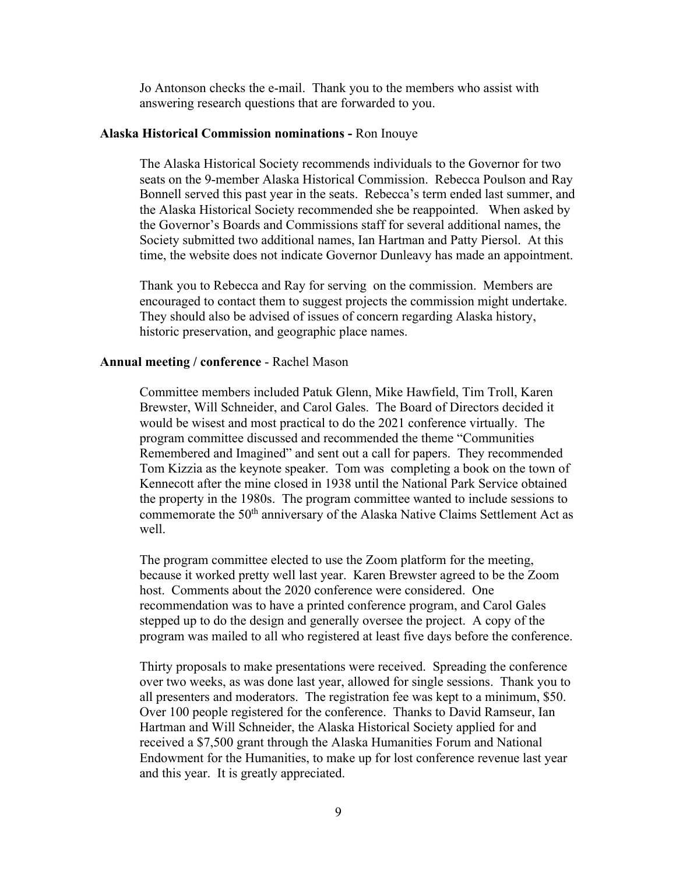Jo Antonson checks the e-mail. Thank you to the members who assist with answering research questions that are forwarded to you.

## **Alaska Historical Commission nominations -** Ron Inouye

The Alaska Historical Society recommends individuals to the Governor for two seats on the 9-member Alaska Historical Commission. Rebecca Poulson and Ray Bonnell served this past year in the seats. Rebecca's term ended last summer, and the Alaska Historical Society recommended she be reappointed. When asked by the Governor's Boards and Commissions staff for several additional names, the Society submitted two additional names, Ian Hartman and Patty Piersol. At this time, the website does not indicate Governor Dunleavy has made an appointment.

Thank you to Rebecca and Ray for serving on the commission. Members are encouraged to contact them to suggest projects the commission might undertake. They should also be advised of issues of concern regarding Alaska history, historic preservation, and geographic place names.

## **Annual meeting / conference** - Rachel Mason

Committee members included Patuk Glenn, Mike Hawfield, Tim Troll, Karen Brewster, Will Schneider, and Carol Gales. The Board of Directors decided it would be wisest and most practical to do the 2021 conference virtually. The program committee discussed and recommended the theme "Communities Remembered and Imagined" and sent out a call for papers. They recommended Tom Kizzia as the keynote speaker. Tom was completing a book on the town of Kennecott after the mine closed in 1938 until the National Park Service obtained the property in the 1980s. The program committee wanted to include sessions to commemorate the 50<sup>th</sup> anniversary of the Alaska Native Claims Settlement Act as well.

The program committee elected to use the Zoom platform for the meeting, because it worked pretty well last year. Karen Brewster agreed to be the Zoom host. Comments about the 2020 conference were considered. One recommendation was to have a printed conference program, and Carol Gales stepped up to do the design and generally oversee the project. A copy of the program was mailed to all who registered at least five days before the conference.

Thirty proposals to make presentations were received. Spreading the conference over two weeks, as was done last year, allowed for single sessions. Thank you to all presenters and moderators. The registration fee was kept to a minimum, \$50. Over 100 people registered for the conference. Thanks to David Ramseur, Ian Hartman and Will Schneider, the Alaska Historical Society applied for and received a \$7,500 grant through the Alaska Humanities Forum and National Endowment for the Humanities, to make up for lost conference revenue last year and this year. It is greatly appreciated.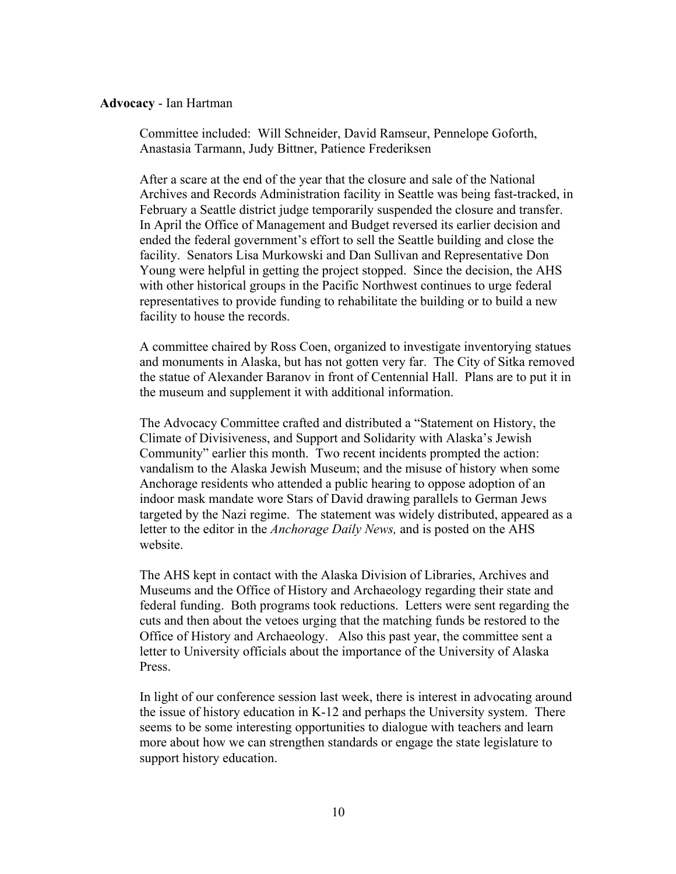## **Advocacy** - Ian Hartman

Committee included: Will Schneider, David Ramseur, Pennelope Goforth, Anastasia Tarmann, Judy Bittner, Patience Frederiksen

After a scare at the end of the year that the closure and sale of the National Archives and Records Administration facility in Seattle was being fast-tracked, in February a Seattle district judge temporarily suspended the closure and transfer. In April the Office of Management and Budget reversed its earlier decision and ended the federal government's effort to sell the Seattle building and close the facility. Senators Lisa Murkowski and Dan Sullivan and Representative Don Young were helpful in getting the project stopped. Since the decision, the AHS with other historical groups in the Pacific Northwest continues to urge federal representatives to provide funding to rehabilitate the building or to build a new facility to house the records.

A committee chaired by Ross Coen, organized to investigate inventorying statues and monuments in Alaska, but has not gotten very far. The City of Sitka removed the statue of Alexander Baranov in front of Centennial Hall. Plans are to put it in the museum and supplement it with additional information.

The Advocacy Committee crafted and distributed a "Statement on History, the Climate of Divisiveness, and Support and Solidarity with Alaska's Jewish Community" earlier this month. Two recent incidents prompted the action: vandalism to the Alaska Jewish Museum; and the misuse of history when some Anchorage residents who attended a public hearing to oppose adoption of an indoor mask mandate wore Stars of David drawing parallels to German Jews targeted by the Nazi regime. The statement was widely distributed, appeared as a letter to the editor in the *Anchorage Daily News,* and is posted on the AHS website.

The AHS kept in contact with the Alaska Division of Libraries, Archives and Museums and the Office of History and Archaeology regarding their state and federal funding. Both programs took reductions. Letters were sent regarding the cuts and then about the vetoes urging that the matching funds be restored to the Office of History and Archaeology. Also this past year, the committee sent a letter to University officials about the importance of the University of Alaska Press.

In light of our conference session last week, there is interest in advocating around the issue of history education in K-12 and perhaps the University system. There seems to be some interesting opportunities to dialogue with teachers and learn more about how we can strengthen standards or engage the state legislature to support history education.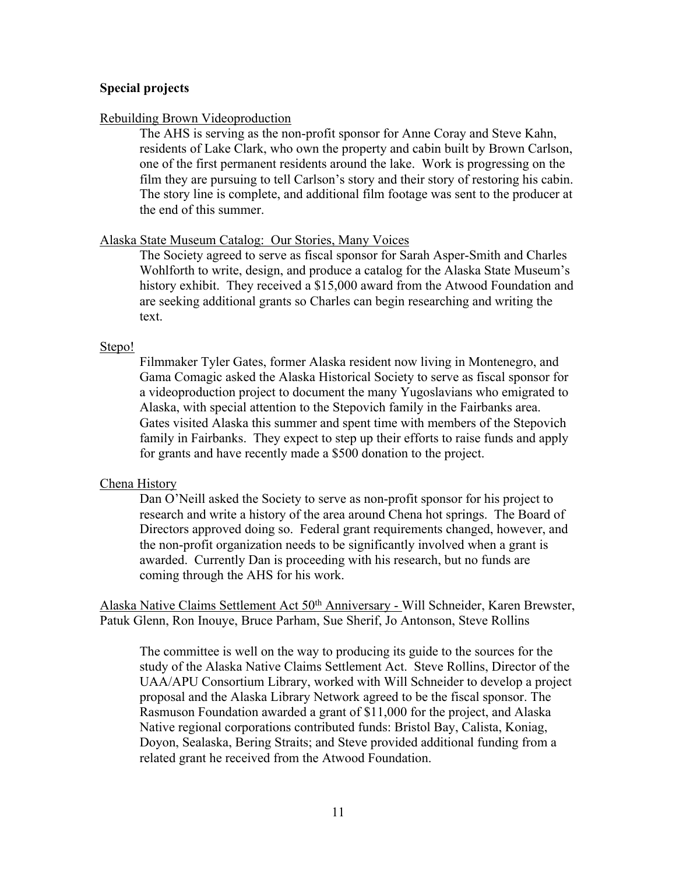## **Special projects**

## Rebuilding Brown Videoproduction

The AHS is serving as the non-profit sponsor for Anne Coray and Steve Kahn, residents of Lake Clark, who own the property and cabin built by Brown Carlson, one of the first permanent residents around the lake. Work is progressing on the film they are pursuing to tell Carlson's story and their story of restoring his cabin. The story line is complete, and additional film footage was sent to the producer at the end of this summer.

## Alaska State Museum Catalog: Our Stories, Many Voices

The Society agreed to serve as fiscal sponsor for Sarah Asper-Smith and Charles Wohlforth to write, design, and produce a catalog for the Alaska State Museum's history exhibit. They received a \$15,000 award from the Atwood Foundation and are seeking additional grants so Charles can begin researching and writing the text.

#### Stepo!

Filmmaker Tyler Gates, former Alaska resident now living in Montenegro, and Gama Comagic asked the Alaska Historical Society to serve as fiscal sponsor for a videoproduction project to document the many Yugoslavians who emigrated to Alaska, with special attention to the Stepovich family in the Fairbanks area. Gates visited Alaska this summer and spent time with members of the Stepovich family in Fairbanks. They expect to step up their efforts to raise funds and apply for grants and have recently made a \$500 donation to the project.

## Chena History

Dan O'Neill asked the Society to serve as non-profit sponsor for his project to research and write a history of the area around Chena hot springs. The Board of Directors approved doing so. Federal grant requirements changed, however, and the non-profit organization needs to be significantly involved when a grant is awarded. Currently Dan is proceeding with his research, but no funds are coming through the AHS for his work.

Alaska Native Claims Settlement Act 50th Anniversary - Will Schneider, Karen Brewster, Patuk Glenn, Ron Inouye, Bruce Parham, Sue Sherif, Jo Antonson, Steve Rollins

The committee is well on the way to producing its guide to the sources for the study of the Alaska Native Claims Settlement Act. Steve Rollins, Director of the UAA/APU Consortium Library, worked with Will Schneider to develop a project proposal and the Alaska Library Network agreed to be the fiscal sponsor. The Rasmuson Foundation awarded a grant of \$11,000 for the project, and Alaska Native regional corporations contributed funds: Bristol Bay, Calista, Koniag, Doyon, Sealaska, Bering Straits; and Steve provided additional funding from a related grant he received from the Atwood Foundation.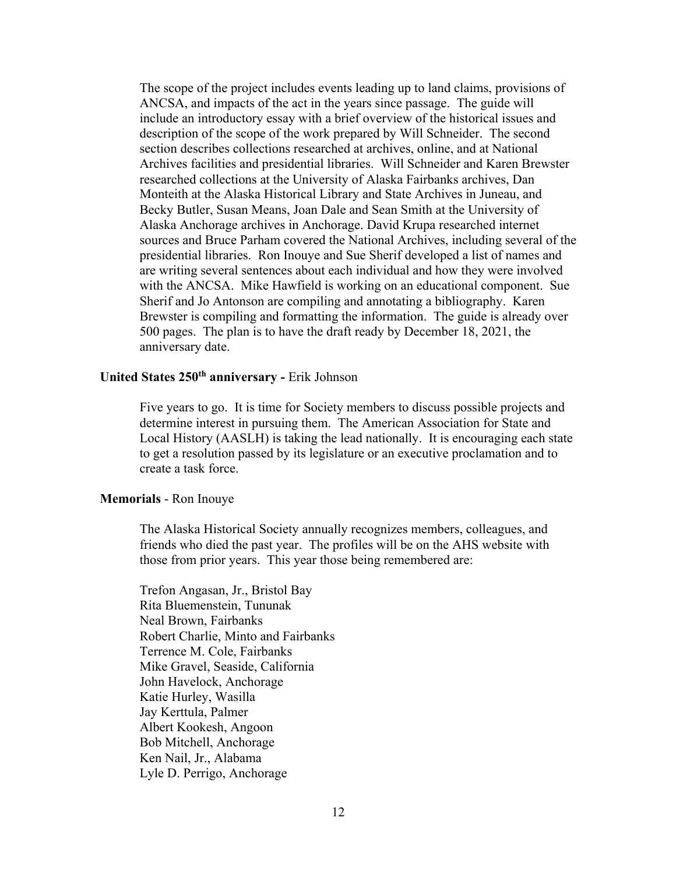The scope of the project includes events leading up to land claims, provisions of ANCSA, and impacts of the act in the years since passage. The guide will include an introductory essay with a brief overview of the historical issues and description of the scope of the work prepared by Will Schneider. The second section describes collections researched at archives, online, and at National Archives facilities and presidential libraries. Will Schneider and Karen Brewster researched collections at the University of Alaska Fairbanks archives, Dan Monteith at the Alaska Historical Library and State Archives in Juneau, and Becky Butler, Susan Means, Joan Dale and Sean Smith at the University of Alaska Anchorage archives in Anchorage. David Krupa researched internet sources and Bruce Parham covered the National Archives, including several of the presidential libraries. Ron Inouye and Sue Sherif developed a list of names and are writing several sentences about each individual and how they were involved with the ANCSA. Mike Hawfield is working on an educational component. Sue Sherif and Jo Antonson are compiling and annotating a bibliography. Karen Brewster is compiling and formatting the information. The guide is already over 500 pages. The plan is to have the draft ready by December 18, 2021, the anniversary date.

# **United States 250th anniversary -** Erik Johnson

Five years to go. It is time for Society members to discuss possible projects and determine interest in pursuing them. The American Association for State and Local History (AASLH) is taking the lead nationally. It is encouraging each state to get a resolution passed by its legislature or an executive proclamation and to create a task force.

## **Memorials** - Ron Inouye

The Alaska Historical Society annually recognizes members, colleagues, and friends who died the past year. The profiles will be on the AHS website with those from prior years. This year those being remembered are:

Trefon Angasan, Jr., Bristol Bay Rita Bluemenstein, Tununak Neal Brown, Fairbanks Robert Charlie, Minto and Fairbanks Terrence M. Cole, Fairbanks Mike Gravel, Seaside, California John Havelock, Anchorage Katie Hurley, Wasilla Jay Kerttula, Palmer Albert Kookesh, Angoon Bob Mitchell, Anchorage Ken Nail, Jr., Alabama Lyle D. Perrigo, Anchorage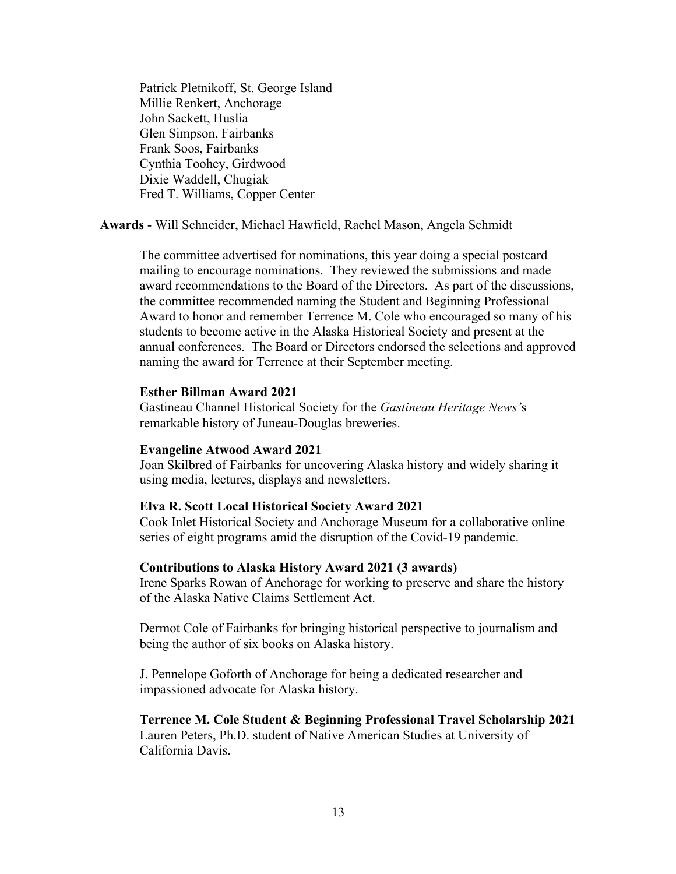Patrick Pletnikoff, St. George Island Millie Renkert, Anchorage John Sackett, Huslia Glen Simpson, Fairbanks Frank Soos, Fairbanks Cynthia Toohey, Girdwood Dixie Waddell, Chugiak Fred T. Williams, Copper Center

**Awards** - Will Schneider, Michael Hawfield, Rachel Mason, Angela Schmidt

The committee advertised for nominations, this year doing a special postcard mailing to encourage nominations. They reviewed the submissions and made award recommendations to the Board of the Directors. As part of the discussions, the committee recommended naming the Student and Beginning Professional Award to honor and remember Terrence M. Cole who encouraged so many of his students to become active in the Alaska Historical Society and present at the annual conferences. The Board or Directors endorsed the selections and approved naming the award for Terrence at their September meeting.

#### **Esther Billman Award 2021**

Gastineau Channel Historical Society for the *Gastineau Heritage News'*s remarkable history of Juneau-Douglas breweries.

## **Evangeline Atwood Award 2021**

Joan Skilbred of Fairbanks for uncovering Alaska history and widely sharing it using media, lectures, displays and newsletters.

#### **Elva R. Scott Local Historical Society Award 2021**

Cook Inlet Historical Society and Anchorage Museum for a collaborative online series of eight programs amid the disruption of the Covid-19 pandemic.

#### **Contributions to Alaska History Award 2021 (3 awards)**

Irene Sparks Rowan of Anchorage for working to preserve and share the history of the Alaska Native Claims Settlement Act.

Dermot Cole of Fairbanks for bringing historical perspective to journalism and being the author of six books on Alaska history.

J. Pennelope Goforth of Anchorage for being a dedicated researcher and impassioned advocate for Alaska history.

**Terrence M. Cole Student & Beginning Professional Travel Scholarship 2021** Lauren Peters, Ph.D. student of Native American Studies at University of California Davis.